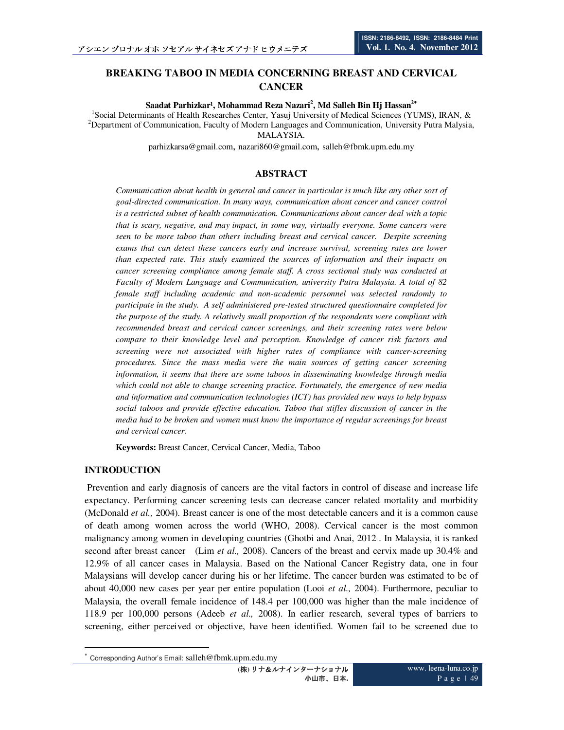# **BREAKING TABOO IN MEDIA CONCERNING BREAST AND CERVICAL CANCER**

**Saadat Parhizkar¹, Mohammad Reza Nazari<sup>2</sup> , Md Salleh Bin Hj Hassan<sup>2</sup>**<sup>∗</sup>

<sup>1</sup>Social Determinants of Health Researches Center, Yasuj University of Medical Sciences (YUMS), IRAN, &  $2$ Department of Communication, Faculty of Modern Languages and Communication, University Putra Malysia, MALAYSIA.

parhizkarsa@gmail.com, nazari860@gmail.com, salleh@fbmk.upm.edu.my

### **ABSTRACT**

*Communication about health in general and cancer in particular is much like any other sort of goal-directed communication. In many ways, communication about cancer and cancer control is a restricted subset of health communication. Communications about cancer deal with a topic that is scary, negative, and may impact, in some way, virtually everyone. Some cancers were seen to be more taboo than others including breast and cervical cancer. Despite screening exams that can detect these cancers early and increase survival, screening rates are lower than expected rate. This study examined the sources of information and their impacts on cancer screening compliance among female staff. A cross sectional study was conducted at Faculty of Modern Language and Communication, university Putra Malaysia. A total of 82 female staff including academic and non-academic personnel was selected randomly to participate in the study. A self administered pre-tested structured questionnaire completed for the purpose of the study. A relatively small proportion of the respondents were compliant with recommended breast and cervical cancer screenings, and their screening rates were below compare to their knowledge level and perception. Knowledge of cancer risk factors and screening were not associated with higher rates of compliance with cancer-screening procedures. Since the mass media were the main sources of getting cancer screening information, it seems that there are some taboos in disseminating knowledge through media which could not able to change screening practice. Fortunately, the emergence of new media and information and communication technologies (ICT) has provided new ways to help bypass social taboos and provide effective education. Taboo that stifles discussion of cancer in the media had to be broken and women must know the importance of regular screenings for breast and cervical cancer.* 

**Keywords:** Breast Cancer, Cervical Cancer, Media, Taboo

#### **INTRODUCTION**

 $\ddot{\phantom{a}}$ 

 Prevention and early diagnosis of cancers are the vital factors in control of disease and increase life expectancy. Performing cancer screening tests can decrease cancer related mortality and morbidity (McDonald *et al.,* 2004). Breast cancer is one of the most detectable cancers and it is a common cause of death among women across the world (WHO, 2008). Cervical cancer is the most common malignancy among women in developing countries (Ghotbi and Anai, 2012 . In Malaysia, it is ranked second after breast cancer (Lim *et al.,* 2008). Cancers of the breast and cervix made up 30.4% and 12.9% of all cancer cases in Malaysia. Based on the National Cancer Registry data, one in four Malaysians will develop cancer during his or her lifetime. The cancer burden was estimated to be of about 40,000 new cases per year per entire population (Looi *et al.,* 2004). Furthermore, peculiar to Malaysia, the overall female incidence of 148.4 per 100,000 was higher than the male incidence of 118.9 per 100,000 persons (Adeeb *et al.,* 2008). In earlier research, several types of barriers to screening, either perceived or objective, have been identified. Women fail to be screened due to

<sup>∗</sup> Corresponding Author's Email: salleh@fbmk.upm.edu.my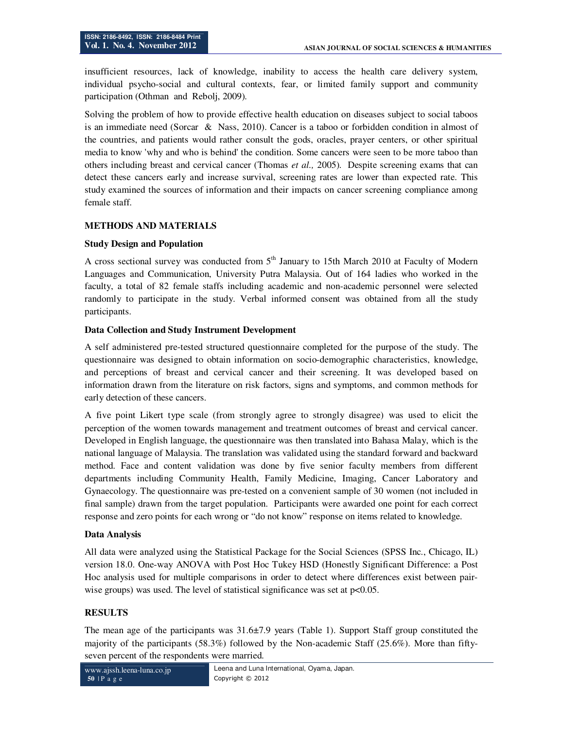insufficient resources, lack of knowledge, inability to access the health care delivery system, individual psycho-social and cultural contexts, fear, or limited family support and community participation (Othman and Rebolj, 2009).

Solving the problem of how to provide effective health education on diseases subject to social taboos is an immediate need (Sorcar & Nass, 2010). Cancer is a taboo or forbidden condition in almost of the countries, and patients would rather consult the gods, oracles, prayer centers, or other spiritual media to know 'why and who is behind' the condition. Some cancers were seen to be more taboo than others including breast and cervical cancer (Thomas *et al.,* 2005). Despite screening exams that can detect these cancers early and increase survival, screening rates are lower than expected rate. This study examined the sources of information and their impacts on cancer screening compliance among female staff.

# **METHODS AND MATERIALS**

# **Study Design and Population**

A cross sectional survey was conducted from  $5<sup>th</sup>$  January to 15th March 2010 at Faculty of Modern Languages and Communication, University Putra Malaysia. Out of 164 ladies who worked in the faculty, a total of 82 female staffs including academic and non-academic personnel were selected randomly to participate in the study. Verbal informed consent was obtained from all the study participants.

## **Data Collection and Study Instrument Development**

A self administered pre-tested structured questionnaire completed for the purpose of the study. The questionnaire was designed to obtain information on socio-demographic characteristics, knowledge, and perceptions of breast and cervical cancer and their screening. It was developed based on information drawn from the literature on risk factors, signs and symptoms, and common methods for early detection of these cancers.

A five point Likert type scale (from strongly agree to strongly disagree) was used to elicit the perception of the women towards management and treatment outcomes of breast and cervical cancer. Developed in English language, the questionnaire was then translated into Bahasa Malay, which is the national language of Malaysia. The translation was validated using the standard forward and backward method. Face and content validation was done by five senior faculty members from different departments including Community Health, Family Medicine, Imaging, Cancer Laboratory and Gynaecology. The questionnaire was pre-tested on a convenient sample of 30 women (not included in final sample) drawn from the target population. Participants were awarded one point for each correct response and zero points for each wrong or "do not know" response on items related to knowledge.

#### **Data Analysis**

All data were analyzed using the Statistical Package for the Social Sciences (SPSS Inc., Chicago, IL) version 18.0. One-way ANOVA with Post Hoc Tukey HSD (Honestly Significant Difference: a Post Hoc analysis used for multiple comparisons in order to detect where differences exist between pairwise groups) was used. The level of statistical significance was set at  $p<0.05$ .

#### **RESULTS**

The mean age of the participants was  $31.6\pm7.9$  years (Table 1). Support Staff group constituted the majority of the participants (58.3%) followed by the Non-academic Staff (25.6%). More than fiftyseven percent of the respondents were married.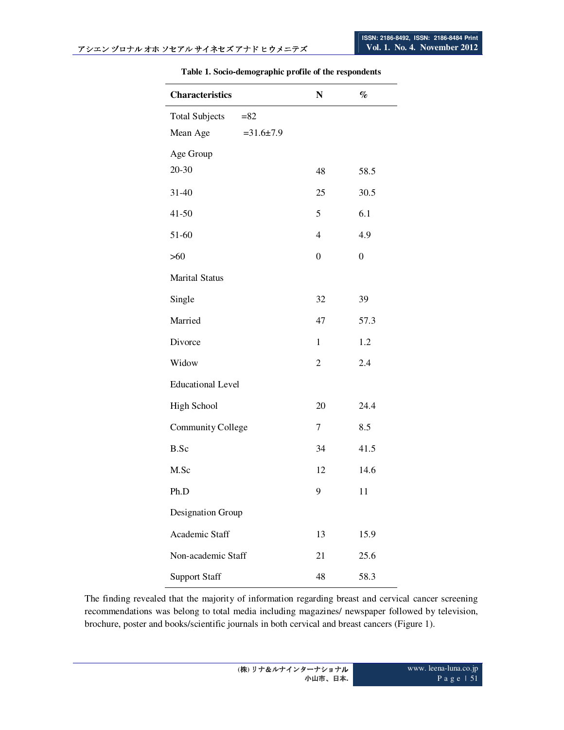$\overline{a}$ 

| <b>Characteristics</b>          | N                        | $\%$             |
|---------------------------------|--------------------------|------------------|
| <b>Total Subjects</b><br>$= 82$ |                          |                  |
| Mean Age<br>$=31.6 \pm 7.9$     |                          |                  |
| Age Group                       |                          |                  |
| 20-30                           | 48                       | 58.5             |
| 31-40                           | 25                       | 30.5             |
| $41 - 50$                       | 5                        | 6.1              |
| 51-60                           | $\overline{\mathcal{L}}$ | 4.9              |
| >60                             | $\overline{0}$           | $\boldsymbol{0}$ |
| <b>Marital Status</b>           |                          |                  |
| Single                          | 32                       | 39               |
| Married                         | 47                       | 57.3             |
| Divorce                         | $\mathbf{1}$             | 1.2              |
| Widow                           | $\overline{c}$           | 2.4              |
| <b>Educational Level</b>        |                          |                  |
| <b>High School</b>              | 20                       | 24.4             |
| Community College               | 7                        | 8.5              |
| B.Sc                            | 34                       | 41.5             |
| M.Sc                            | 12                       | 14.6             |
| Ph.D                            | 9                        | 11               |
| Designation Group               |                          |                  |
| Academic Staff                  | 13                       | 15.9             |
| Non-academic Staff              | 21                       | 25.6             |
| <b>Support Staff</b>            | 48                       | 58.3             |

#### **Table 1. Socio-demographic profile of the respondents**

The finding revealed that the majority of information regarding breast and cervical cancer screening recommendations was belong to total media including magazines/ newspaper followed by television, brochure, poster and books/scientific journals in both cervical and breast cancers (Figure 1).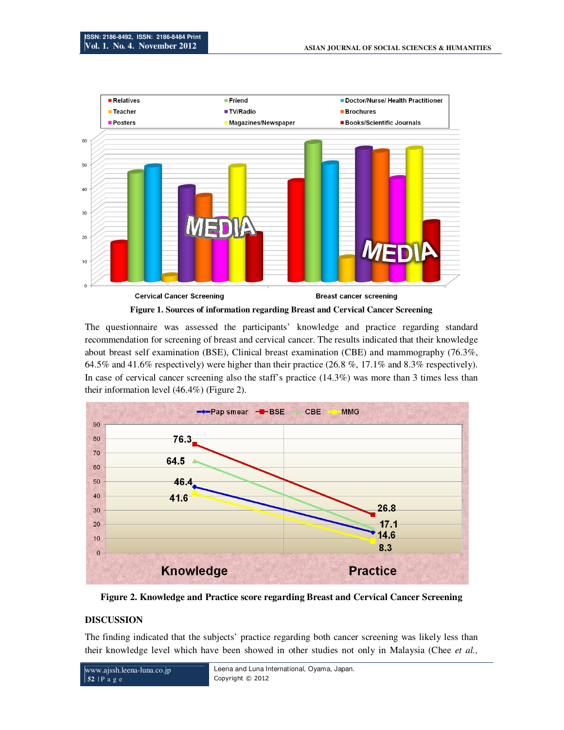

**Figure 1. Sources of information regarding Breast and Cervical Cancer Screening** 

The questionnaire was assessed the participants' knowledge and practice regarding standard recommendation for screening of breast and cervical cancer. The results indicated that their knowledge about breast self examination (BSE), Clinical breast examination (CBE) and mammography (76.3%, 64.5% and 41.6% respectively) were higher than their practice (26.8 %, 17.1% and 8.3% respectively). In case of cervical cancer screening also the staff's practice (14.3%) was more than 3 times less than their information level (46.4%) (Figure 2).



**Figure 2. Knowledge and Practice score regarding Breast and Cervical Cancer Screening** 

#### **DISCUSSION**

The finding indicated that the subjects' practice regarding both cancer screening was likely less than their knowledge level which have been showed in other studies not only in Malaysia (Chee *et al.,*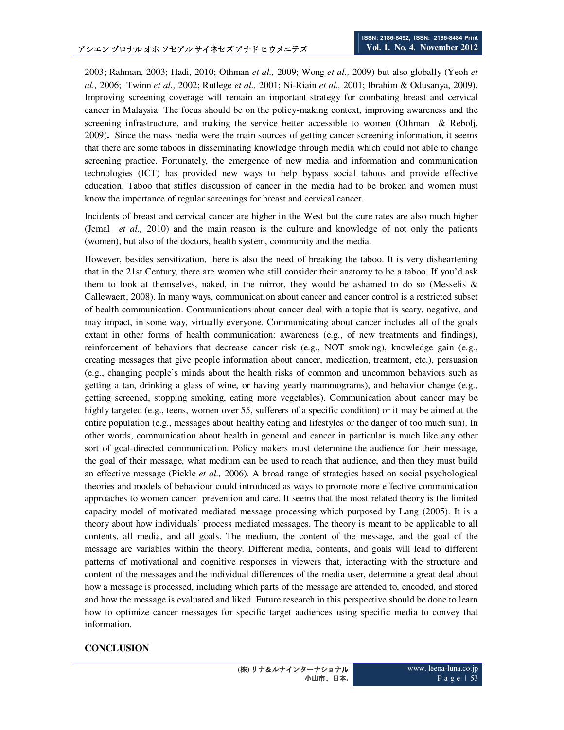2003; Rahman, 2003; Hadi, 2010; Othman *et al.,* 2009; Wong *et al.,* 2009) but also globally (Yeoh *et al.,* 2006; Twinn *et al.,* 2002; Rutlege *et al.,* 2001; Ni-Riain *et al.,* 2001; Ibrahim & Odusanya, 2009). Improving screening coverage will remain an important strategy for combating breast and cervical cancer in Malaysia. The focus should be on the policy-making context, improving awareness and the screening infrastructure, and making the service better accessible to women (Othman & Rebolj, 2009)**.** Since the mass media were the main sources of getting cancer screening information, it seems that there are some taboos in disseminating knowledge through media which could not able to change screening practice. Fortunately, the emergence of new media and information and communication technologies (ICT) has provided new ways to help bypass social taboos and provide effective education. Taboo that stifles discussion of cancer in the media had to be broken and women must know the importance of regular screenings for breast and cervical cancer.

Incidents of breast and cervical cancer are higher in the West but the cure rates are also much higher (Jemal *et al.,* 2010) and the main reason is the culture and knowledge of not only the patients (women), but also of the doctors, health system, community and the media.

However, besides sensitization, there is also the need of breaking the taboo. It is very disheartening that in the 21st Century, there are women who still consider their anatomy to be a taboo. If you'd ask them to look at themselves, naked, in the mirror, they would be ashamed to do so (Messelis  $\&$ Callewaert, 2008). In many ways, communication about cancer and cancer control is a restricted subset of health communication. Communications about cancer deal with a topic that is scary, negative, and may impact, in some way, virtually everyone. Communicating about cancer includes all of the goals extant in other forms of health communication: awareness (e.g., of new treatments and findings), reinforcement of behaviors that decrease cancer risk (e.g., NOT smoking), knowledge gain (e.g., creating messages that give people information about cancer, medication, treatment, etc.), persuasion (e.g., changing people's minds about the health risks of common and uncommon behaviors such as getting a tan, drinking a glass of wine, or having yearly mammograms), and behavior change (e.g., getting screened, stopping smoking, eating more vegetables). Communication about cancer may be highly targeted (e.g., teens, women over 55, sufferers of a specific condition) or it may be aimed at the entire population (e.g., messages about healthy eating and lifestyles or the danger of too much sun). In other words, communication about health in general and cancer in particular is much like any other sort of goal-directed communication. Policy makers must determine the audience for their message, the goal of their message, what medium can be used to reach that audience, and then they must build an effective message (Pickle *et al.,* 2006). A broad range of strategies based on social psychological theories and models of behaviour could introduced as ways to promote more effective communication approaches to women cancer prevention and care. It seems that the most related theory is the limited capacity model of motivated mediated message processing which purposed by Lang (2005). It is a theory about how individuals' process mediated messages. The theory is meant to be applicable to all contents, all media, and all goals. The medium, the content of the message, and the goal of the message are variables within the theory. Different media, contents, and goals will lead to different patterns of motivational and cognitive responses in viewers that, interacting with the structure and content of the messages and the individual differences of the media user, determine a great deal about how a message is processed, including which parts of the message are attended to, encoded, and stored and how the message is evaluated and liked. Future research in this perspective should be done to learn how to optimize cancer messages for specific target audiences using specific media to convey that information.

#### **CONCLUSION**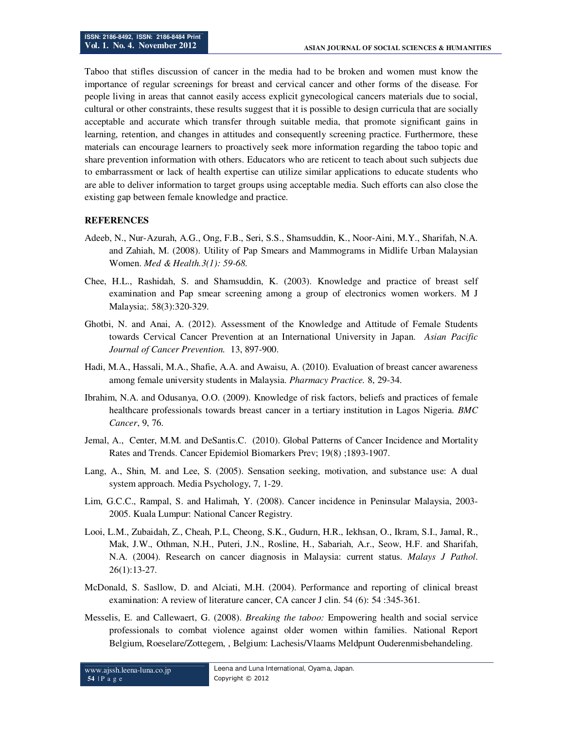Taboo that stifles discussion of cancer in the media had to be broken and women must know the importance of regular screenings for breast and cervical cancer and other forms of the disease. For people living in areas that cannot easily access explicit gynecological cancers materials due to social, cultural or other constraints, these results suggest that it is possible to design curricula that are socially acceptable and accurate which transfer through suitable media, that promote significant gains in learning, retention, and changes in attitudes and consequently screening practice. Furthermore, these materials can encourage learners to proactively seek more information regarding the taboo topic and share prevention information with others. Educators who are reticent to teach about such subjects due to embarrassment or lack of health expertise can utilize similar applications to educate students who are able to deliver information to target groups using acceptable media. Such efforts can also close the existing gap between female knowledge and practice.

#### **REFERENCES**

- Adeeb, N., Nur-Azurah, A.G., Ong, F.B., Seri, S.S., Shamsuddin, K., Noor-Aini, M.Y., Sharifah, N.A. and Zahiah, M. (2008). Utility of Pap Smears and Mammograms in Midlife Urban Malaysian Women. *Med & Health.3(1): 59-68.*
- Chee, H.L., Rashidah, S. and Shamsuddin, K. (2003). Knowledge and practice of breast self examination and Pap smear screening among a group of electronics women workers. M J Malaysia;. 58(3):320-329.
- Ghotbi, N. and Anai, A. (2012). Assessment of the Knowledge and Attitude of Female Students towards Cervical Cancer Prevention at an International University in Japan. *Asian Pacific Journal of Cancer Prevention.* 13, 897-900.
- Hadi, M.A., Hassali, M.A., Shafie, A.A. and Awaisu, A. (2010). Evaluation of breast cancer awareness among female university students in Malaysia. *Pharmacy Practice.* 8, 29-34.
- Ibrahim, N.A. and Odusanya, O.O. (2009). Knowledge of risk factors, beliefs and practices of female healthcare professionals towards breast cancer in a tertiary institution in Lagos Nigeria. *BMC Cancer*, 9, 76.
- Jemal, A., Center, M.M. and DeSantis.C. (2010). Global Patterns of Cancer Incidence and Mortality Rates and Trends. Cancer Epidemiol Biomarkers Prev; 19(8) ;1893-1907.
- Lang, A., Shin, M. and Lee, S. (2005). Sensation seeking, motivation, and substance use: A dual system approach. Media Psychology, 7, 1-29.
- Lim, G.C.C., Rampal, S. and Halimah, Y. (2008). Cancer incidence in Peninsular Malaysia, 2003- 2005. Kuala Lumpur: National Cancer Registry.
- Looi, L.M., Zubaidah, Z., Cheah, P.L, Cheong, S.K., Gudurn, H.R., Iekhsan, O., Ikram, S.I., Jamal, R., Mak, J.W., Othman, N.H., Puteri, J.N., Rosline, H., Sabariah, A.r., Seow, H.F. and Sharifah, N.A. (2004). Research on cancer diagnosis in Malaysia: current status. *Malays J Pathol*. 26(1):13-27.
- McDonald, S. Sasllow, D. and Alciati, M.H. (2004). Performance and reporting of clinical breast examination: A review of literature cancer, CA cancer J clin. 54 (6): 54 :345-361.
- Messelis, E. and Callewaert, G. (2008). *Breaking the taboo:* Empowering health and social service professionals to combat violence against older women within families. National Report Belgium, Roeselare/Zottegem, , Belgium: Lachesis/Vlaams Meldpunt Ouderenmisbehandeling.